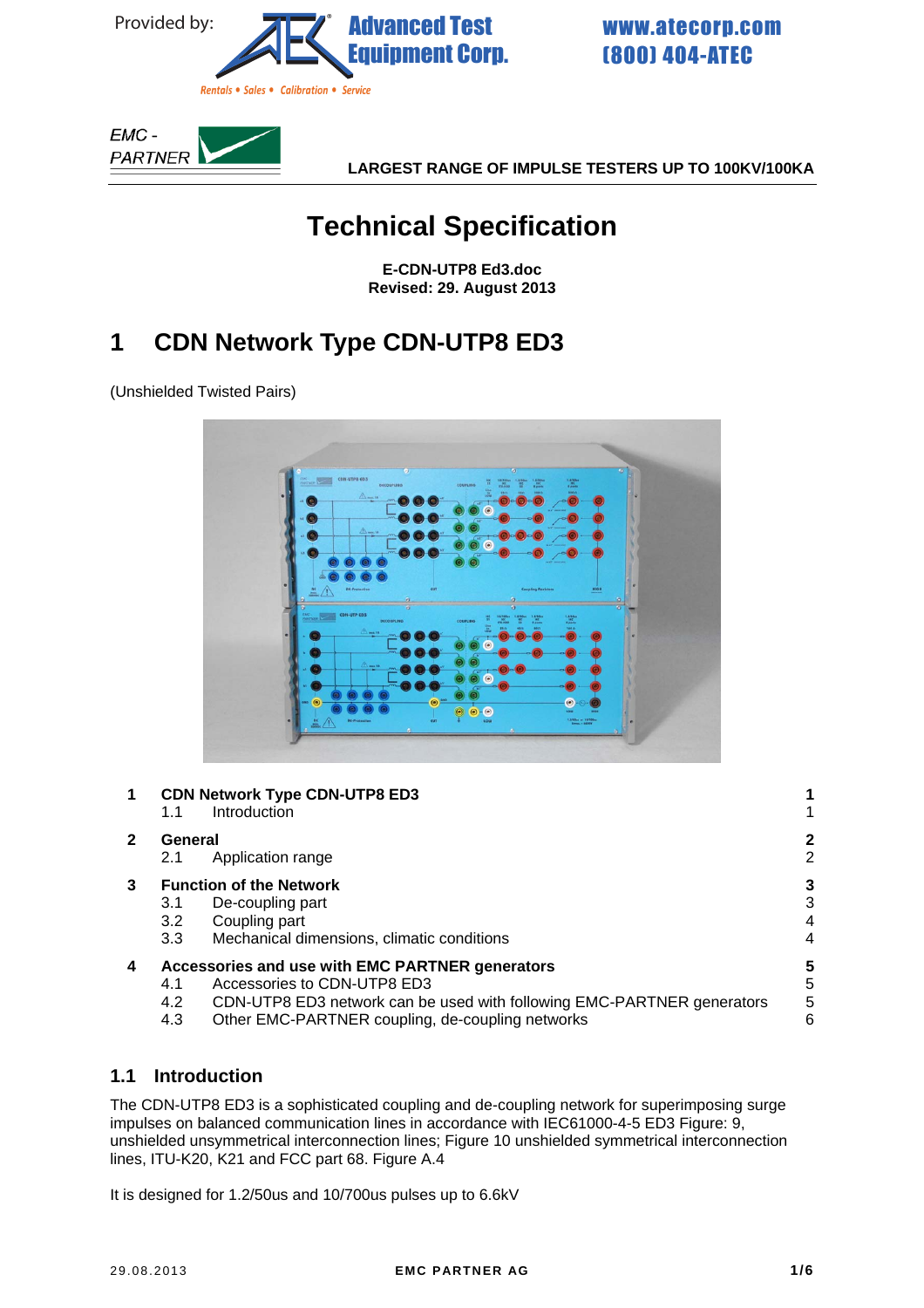<span id="page-0-0"></span>

*Rentals* • *Sales* • *Calibration* • *Service* 

(800) 404-ATEC [www.atecorp.com](https://www.atecorp.com/)



**LARGEST RANGE OF IMPULSE TESTERS UP TO 100KV/100KA** 

# **Technical Specification**

**E-CDN-UTP8 Ed3.doc Revised: 29. August 2013** 

# **1 CDN Network Type CDN-UTP8 ED3**

(Unshielded Twisted Pairs)



## **1 C[DN](#page-0-0) N[etwork Type CDN-UTP8 ED3 1](#page-0-0)**

- [1.1](#page-0-0) [Introduction 1](#page-1-0) **2 Ge[n](#page-1-0)er[al 2](#page-1-0)** [2.1](#page-1-0) [Application range 2](#page-2-0) **3 Fu[n](#page-3-0)cti[on of the Network 3](#page-3-0)**
	- [3.1](#page-2-0) De-coupling part [3](#page-3-0)
		- [3.2](#page-3-0) [Coupling part 4](#page-3-0)
		- [3.3](#page-3-0) [Mechanical dimensions, climatic conditions 4](#page-4-0)

### **4 Ac[c](#page-4-0)es[sories and use with EMC PARTNER generators 5](#page-4-0)**

- [4.1](#page-4-0) [Accessories to CDN-UTP8 ED3 5](#page-5-0)
- [4.2](#page-4-0) CDN-UTP8 ED3 network can be used with following EMC-PARTNER generators 5
- [4.3](#page-5-0) Other EMC-PARTNER coupling, de-coupling networks 6

## **1.1 Introduction**

The CDN-UTP8 ED3 is a sophisticated coupling and de-coupling network for superimposing surge impulses on balanced communication lines in accordance with IEC61000-4-5 ED3 Figure: 9, unshielded unsymmetrical interconnection lines; Figure 10 unshielded symmetrical interconnection lines, ITU-K20, K21 and FCC part 68. Figure A.4

It is designed for 1.2/50us and 10/700us pulses up to 6.6kV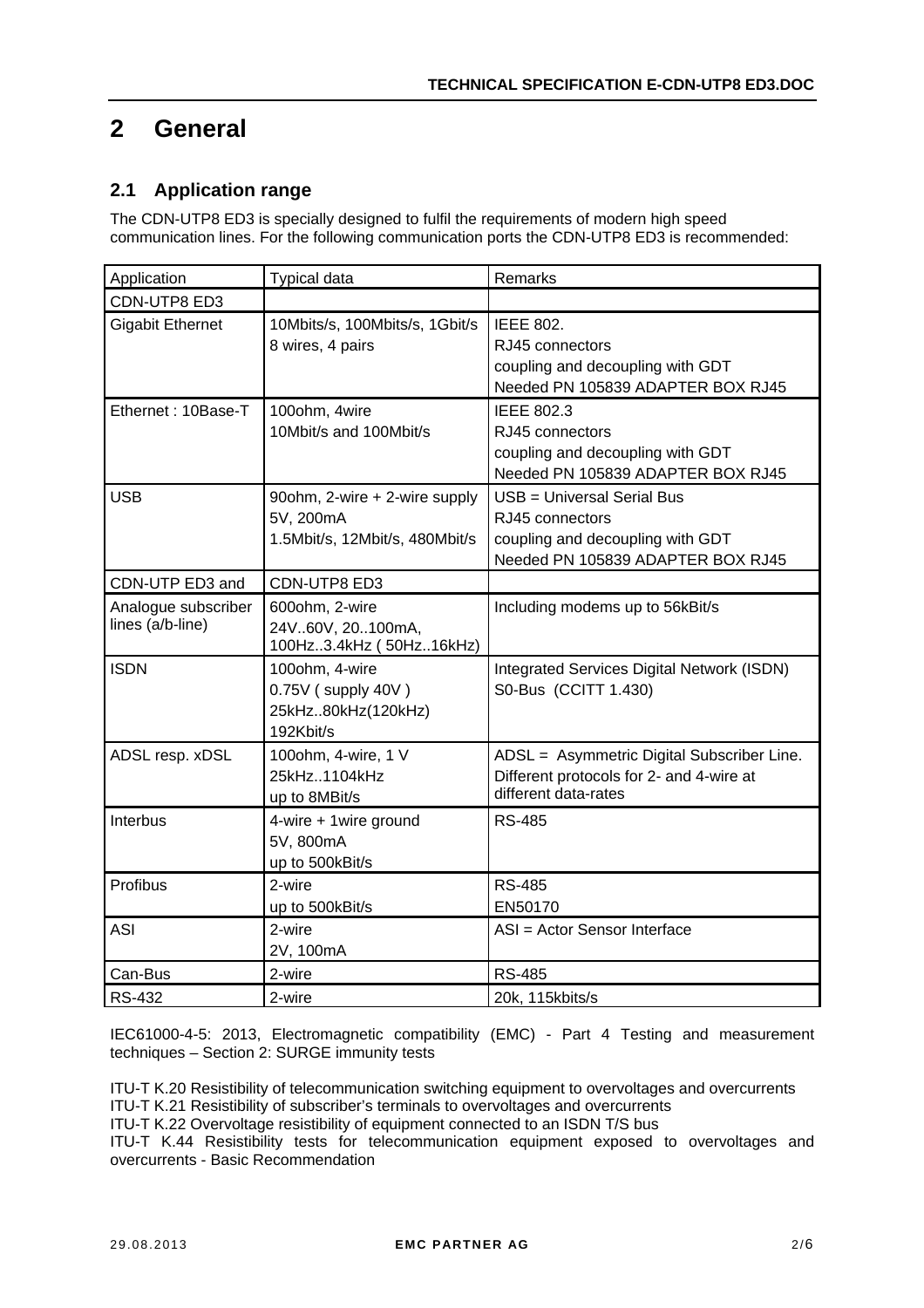# <span id="page-1-0"></span>**2 General**

### **2.1 Application range**

The CDN-UTP8 ED3 is specially designed to fulfil the requirements of modern high speed communication lines. For the following communication ports the CDN-UTP8 ED3 is recommended:

| Application                             | Typical data                                                                 | Remarks                                                                                                                |
|-----------------------------------------|------------------------------------------------------------------------------|------------------------------------------------------------------------------------------------------------------------|
| CDN-UTP8 ED3                            |                                                                              |                                                                                                                        |
| <b>Gigabit Ethernet</b>                 | 10Mbits/s, 100Mbits/s, 1Gbit/s<br>8 wires, 4 pairs                           | <b>IEEE 802.</b><br>RJ45 connectors<br>coupling and decoupling with GDT<br>Needed PN 105839 ADAPTER BOX RJ45           |
| Ethernet: 10Base-T                      | 100ohm, 4wire<br>10Mbit/s and 100Mbit/s                                      | <b>IEEE 802.3</b><br>RJ45 connectors<br>coupling and decoupling with GDT<br>Needed PN 105839 ADAPTER BOX RJ45          |
| <b>USB</b>                              | 90ohm, 2-wire + 2-wire supply<br>5V, 200mA<br>1.5Mbit/s, 12Mbit/s, 480Mbit/s | USB = Universal Serial Bus<br>RJ45 connectors<br>coupling and decoupling with GDT<br>Needed PN 105839 ADAPTER BOX RJ45 |
| CDN-UTP ED3 and                         | CDN-UTP8 ED3                                                                 |                                                                                                                        |
| Analogue subscriber<br>lines (a/b-line) | 600ohm, 2-wire<br>24V.60V, 20100mA,<br>100Hz3.4kHz (50Hz16kHz)               | Including modems up to 56kBit/s                                                                                        |
| <b>ISDN</b>                             | 100ohm, 4-wire<br>0.75V (supply 40V)<br>25kHz80kHz(120kHz)<br>192Kbit/s      | <b>Integrated Services Digital Network (ISDN)</b><br>S0-Bus (CCITT 1.430)                                              |
| ADSL resp. xDSL                         | 100ohm, 4-wire, 1 V<br>25kHz1104kHz<br>up to 8MBit/s                         | ADSL = Asymmetric Digital Subscriber Line.<br>Different protocols for 2- and 4-wire at<br>different data-rates         |
| Interbus                                | 4-wire + 1wire ground<br>5V, 800mA<br>up to 500kBit/s                        | <b>RS-485</b>                                                                                                          |
| Profibus                                | 2-wire<br>up to 500kBit/s                                                    | <b>RS-485</b><br>EN50170                                                                                               |
| <b>ASI</b>                              | 2-wire<br>2V, 100mA                                                          | ASI = Actor Sensor Interface                                                                                           |
| Can-Bus                                 | 2-wire                                                                       | <b>RS-485</b>                                                                                                          |
| <b>RS-432</b>                           | 2-wire                                                                       | 20k, 115kbits/s                                                                                                        |

IEC61000-4-5: 2013, Electromagnetic compatibility (EMC) - Part 4 Testing and measurement techniques – Section 2: SURGE immunity tests

ITU-T K.20 Resistibility of telecommunication switching equipment to overvoltages and overcurrents ITU-T K.21 Resistibility of subscriber's terminals to overvoltages and overcurrents

ITU-T K.22 Overvoltage resistibility of equipment connected to an ISDN T/S bus

ITU-T K.44 Resistibility tests for telecommunication equipment exposed to overvoltages and overcurrents - Basic Recommendation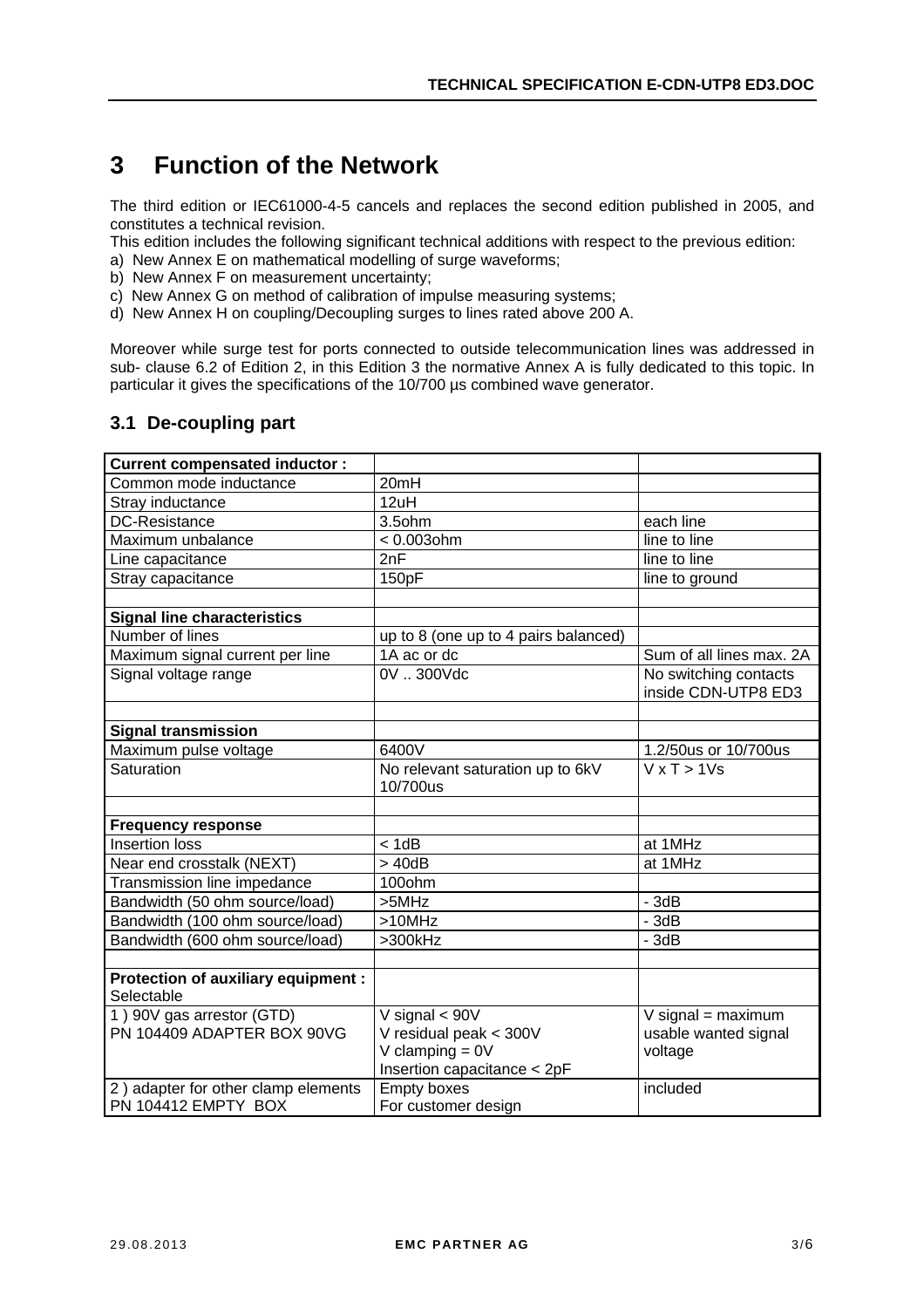# <span id="page-2-0"></span>**3 Function of the Network**

The third edition or IEC61000-4-5 cancels and replaces the second edition published in 2005, and constitutes a technical revision.

This edition includes the following significant technical additions with respect to the previous edition:

- a) New Annex E on mathematical modelling of surge waveforms;
- b) New Annex F on measurement uncertainty;
- c) New Annex G on method of calibration of impulse measuring systems;
- d) New Annex H on coupling/Decoupling surges to lines rated above 200 A.

Moreover while surge test for ports connected to outside telecommunication lines was addressed in sub- clause 6.2 of Edition 2, in this Edition 3 the normative Annex A is fully dedicated to this topic. In particular it gives the specifications of the 10/700 µs combined wave generator.

#### **3.1 De-coupling part**

| <b>Current compensated inductor:</b>              |                                              |                                              |
|---------------------------------------------------|----------------------------------------------|----------------------------------------------|
| Common mode inductance                            | 20mH                                         |                                              |
| Stray inductance                                  | 12uH                                         |                                              |
| <b>DC-Resistance</b>                              | $3.5$ ohm                                    | each line                                    |
| Maximum unbalance                                 | $< 0.003$ ohm                                | line to line                                 |
| Line capacitance                                  | 2nF                                          | line to line                                 |
| Stray capacitance                                 | 150pF                                        | line to ground                               |
|                                                   |                                              |                                              |
| <b>Signal line characteristics</b>                |                                              |                                              |
| Number of lines                                   | up to 8 (one up to 4 pairs balanced)         |                                              |
| Maximum signal current per line                   | 1A ac or dc                                  | Sum of all lines max, 2A                     |
| Signal voltage range                              | 0V  300Vdc                                   | No switching contacts<br>inside CDN-UTP8 ED3 |
|                                                   |                                              |                                              |
| <b>Signal transmission</b>                        |                                              |                                              |
| Maximum pulse voltage                             | 6400V                                        | 1.2/50us or 10/700us                         |
| Saturation                                        | No relevant saturation up to 6kV<br>10/700us | $\overline{V}$ x T > 1Vs                     |
|                                                   |                                              |                                              |
| <b>Frequency response</b>                         |                                              |                                              |
| Insertion loss                                    | < 1dB                                        | at 1MHz                                      |
| Near end crosstalk (NEXT)                         | >40dB                                        | at 1MHz                                      |
| Transmission line impedance                       | 100ohm                                       |                                              |
| Bandwidth (50 ohm source/load)                    | >5MHz                                        | $-3dB$                                       |
| Bandwidth (100 ohm source/load)                   | $>10$ MHz                                    | $-3dB$                                       |
| Bandwidth (600 ohm source/load)                   | >300kHz                                      | $-3dB$                                       |
|                                                   |                                              |                                              |
| Protection of auxiliary equipment :<br>Selectable |                                              |                                              |
| 1) 90V gas arrestor (GTD)                         | V signal $< 90V$                             | $V$ signal = maximum                         |
| PN 104409 ADAPTER BOX 90VG                        | V residual peak < 300V                       | usable wanted signal                         |
|                                                   | V clamping $= 0V$                            | voltage                                      |
|                                                   | Insertion capacitance < 2pF                  |                                              |
| 2) adapter for other clamp elements               | <b>Empty boxes</b>                           | included                                     |
| PN 104412 EMPTY BOX                               | For customer design                          |                                              |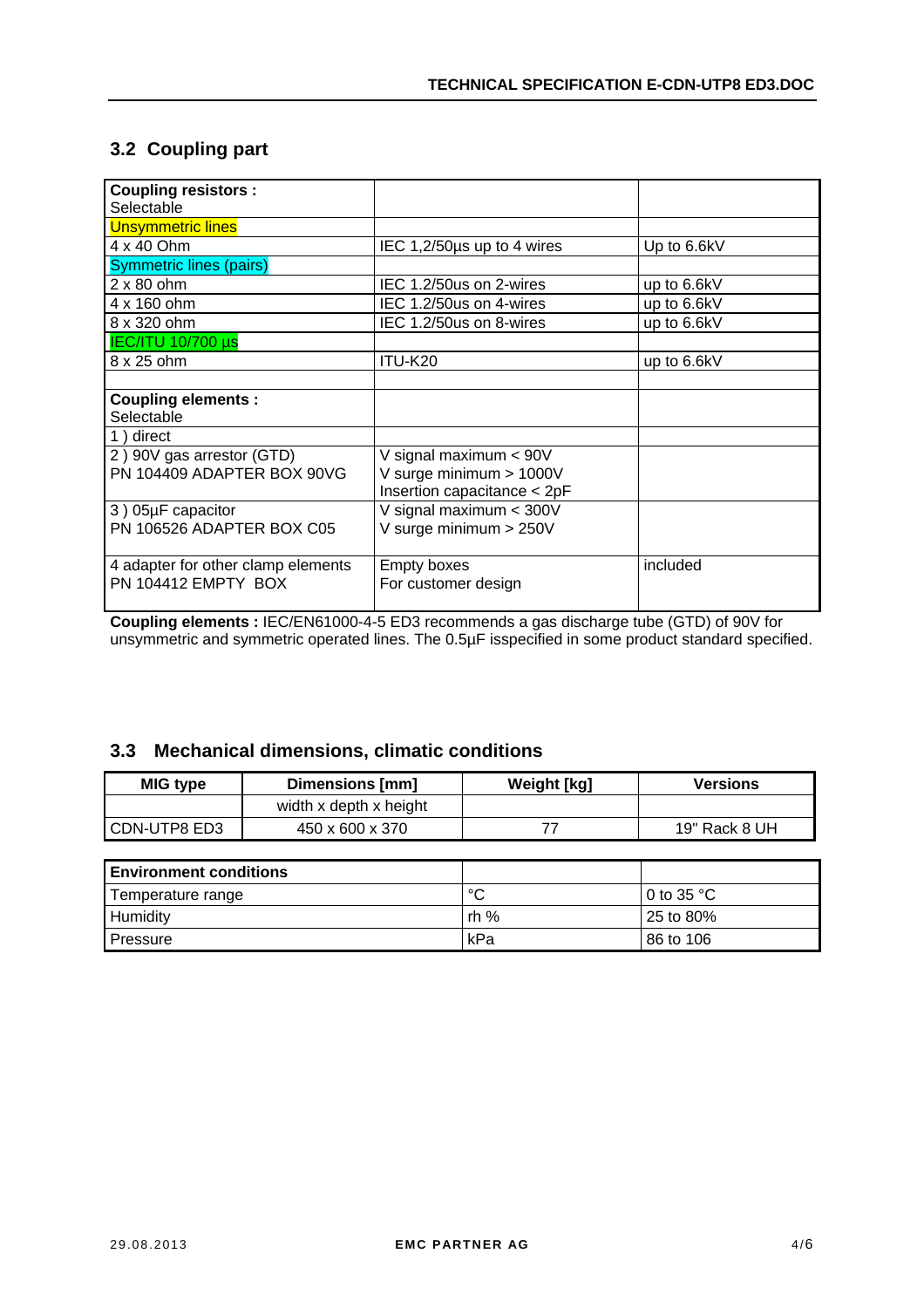### <span id="page-3-0"></span>**3.2 Coupling part**

| <b>Coupling resistors:</b>         |                             |             |
|------------------------------------|-----------------------------|-------------|
| Selectable                         |                             |             |
| <b>Unsymmetric lines</b>           |                             |             |
| 4 x 40 Ohm                         | IEC 1,2/50us up to 4 wires  | Up to 6.6kV |
| <b>Symmetric lines (pairs)</b>     |                             |             |
| $2 \times 80$ ohm                  | IEC 1.2/50us on 2-wires     | up to 6.6kV |
| 4 x 160 ohm                        | IEC 1.2/50us on 4-wires     | up to 6.6kV |
| 8 x 320 ohm                        | IEC 1.2/50us on 8-wires     | up to 6.6kV |
| <b>IEC/ITU 10/700 µs</b>           |                             |             |
| 8 x 25 ohm                         | ITU-K20                     | up to 6.6kV |
|                                    |                             |             |
| <b>Coupling elements:</b>          |                             |             |
| Selectable                         |                             |             |
| 1) direct                          |                             |             |
| 2) 90V gas arrestor (GTD)          | V signal maximum < 90V      |             |
| PN 104409 ADAPTER BOX 90VG         | V surge minimum > 1000V     |             |
|                                    | Insertion capacitance < 2pF |             |
| 3) 05µF capacitor                  | V signal maximum < 300V     |             |
| PN 106526 ADAPTER BOX C05          | V surge minimum > 250V      |             |
|                                    |                             |             |
| 4 adapter for other clamp elements | <b>Empty boxes</b>          | included    |
| PN 104412 EMPTY BOX                | For customer design         |             |
|                                    |                             |             |

**Coupling elements :** IEC/EN61000-4-5 ED3 recommends a gas discharge tube (GTD) of 90V for unsymmetric and symmetric operated lines. The 0.5µF isspecified in some product standard specified.

### **3.3 Mechanical dimensions, climatic conditions**

| MIG type                                                                                                                                                                                                                       | Dimensions [mm]        | Weight [kg] | <b>Versions</b> |
|--------------------------------------------------------------------------------------------------------------------------------------------------------------------------------------------------------------------------------|------------------------|-------------|-----------------|
|                                                                                                                                                                                                                                | width x depth x height |             |                 |
| CDN-UTP8 ED3                                                                                                                                                                                                                   | 450 x 600 x 370        |             | 19" Rack 8 UH   |
|                                                                                                                                                                                                                                |                        |             |                 |
| in the continuous company of the control of the control of the control of the control of the control of the control of the control of the control of the control of the control of the control of the control of the control o |                        |             |                 |

| <b>Environment conditions</b> |      |                      |
|-------------------------------|------|----------------------|
| Temperature range             | °C   | 0 to 35 $^{\circ}$ C |
| Humidity                      | rh % | $25$ to 80%          |
| <b>Pressure</b>               | kPa  | 86 to 106            |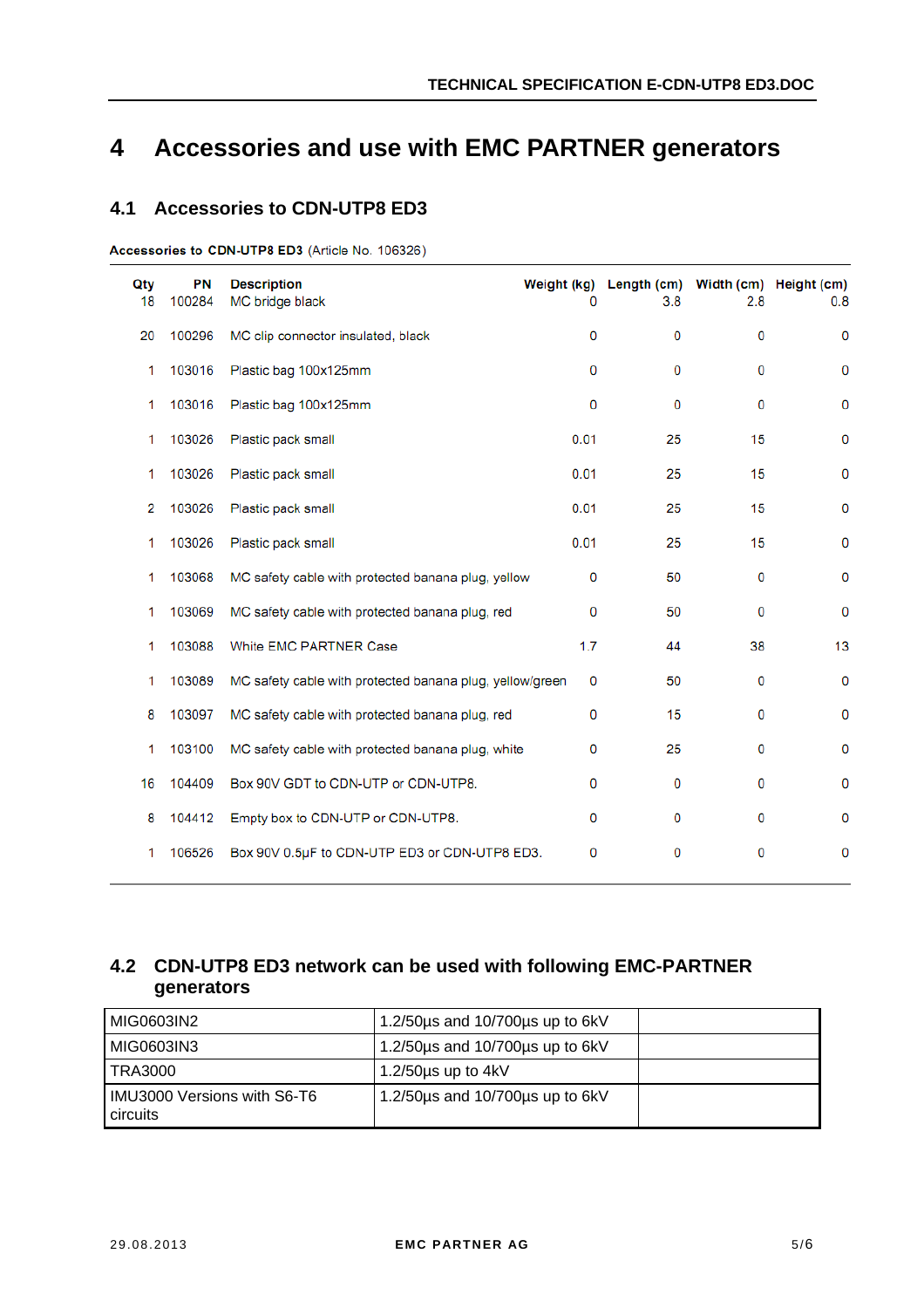# <span id="page-4-0"></span>**4 Accessories and use with EMC PARTNER generators**

#### **4.1 Accessories to CDN-UTP8 ED3**

Accessories to CDN-UTP8 ED3 (Article No. 106326)

| Qty<br>18 | <b>PN</b><br>100284 | <b>Description</b><br>MC bridge black                    | 0           | Weight (kg) Length (cm) Width (cm) Height (cm)<br>3.8 | 2.8 | 0.8 |
|-----------|---------------------|----------------------------------------------------------|-------------|-------------------------------------------------------|-----|-----|
| 20        | 100296              | MC clip connector insulated, black                       | 0           | 0                                                     | 0   | 0   |
| 1         | 103016              | Plastic bag 100x125mm                                    | 0           | 0                                                     | 0   | 0   |
| 1         | 103016              | Plastic bag 100x125mm                                    | 0           | 0                                                     | 0   | 0   |
| 1         | 103026              | Plastic pack small                                       | 0.01        | 25                                                    | 15  | 0   |
| 1         | 103026              | Plastic pack small                                       | 0.01        | 25                                                    | 15  | 0   |
| 2         | 103026              | Plastic pack small                                       | 0.01        | 25                                                    | 15  | 0   |
| 1         | 103026              | Plastic pack small                                       | 0.01        | 25                                                    | 15  | 0   |
| 1         | 103068              | MC safety cable with protected banana plug, yellow       | 0           | 50                                                    | 0   | 0   |
| 1         | 103069              | MC safety cable with protected banana plug, red          | $\mathbf 0$ | 50                                                    | 0   | 0   |
| 1         | 103088              | White EMC PARTNER Case                                   | 1.7         | 44                                                    | 38  | 13  |
| 1         | 103089              | MC safety cable with protected banana plug, yellow/green | 0           | 50                                                    | 0   | 0   |
| 8         | 103097              | MC safety cable with protected banana plug, red          | 0           | 15                                                    | 0   | 0   |
| 1         | 103100              | MC safety cable with protected banana plug, white        | 0           | 25                                                    | 0   | 0   |
| 16        | 104409              | Box 90V GDT to CDN-UTP or CDN-UTP8.                      | 0           | 0                                                     | 0   | 0   |
| 8         | 104412              | Empty box to CDN-UTP or CDN-UTP8.                        | 0           | 0                                                     | 0   | 0   |
| 1         | 106526              | Box 90V 0.5µF to CDN-UTP ED3 or CDN-UTP8 ED3.            | 0           | 0                                                     | 0   | 0   |

### **4.2 CDN-UTP8 ED3 network can be used with following EMC-PARTNER generators**

| MIG0603IN2                                     | 1.2/50 $\mu$ s and 10/700 $\mu$ s up to 6kV |  |
|------------------------------------------------|---------------------------------------------|--|
| MIG0603IN3                                     | 1.2/50us and 10/700us up to 6kV             |  |
| I TRA3000                                      | 1.2/50 $\mu$ s up to 4kV                    |  |
| IMU3000 Versions with S6-T6<br><b>circuits</b> | 1.2/50 $\mu$ s and 10/700 $\mu$ s up to 6kV |  |